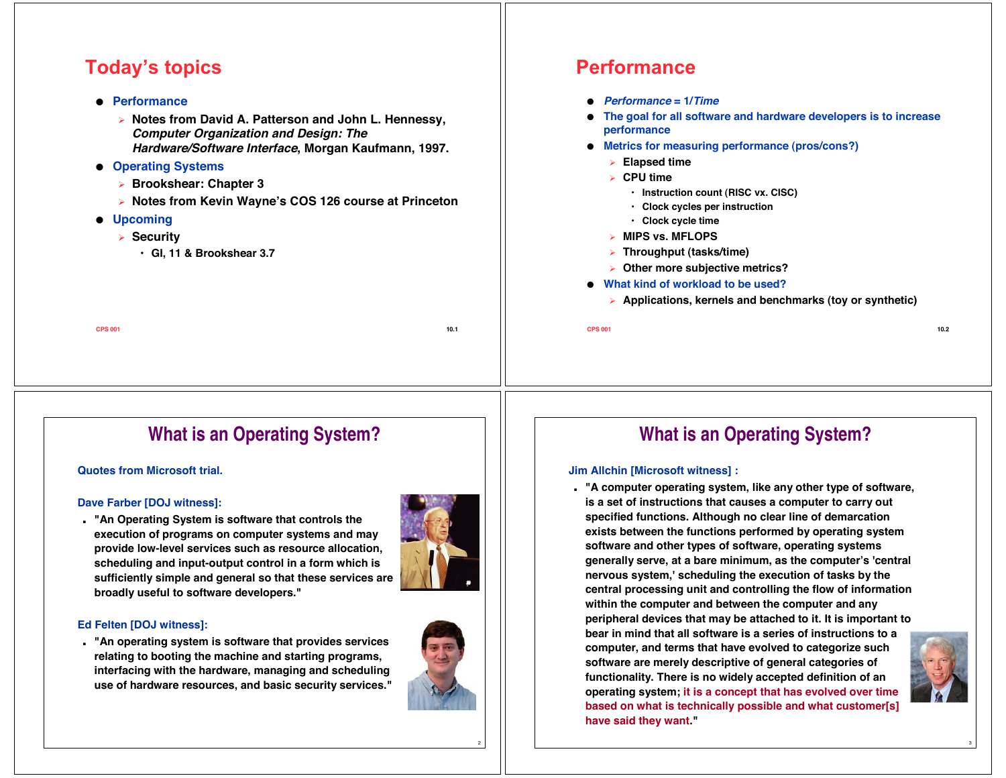## **Today's topics**

#### **Performance**

- **Notes from David A. Patterson and John L. Hennessy, Computer Organization and Design: The Hardware/Software Interface, Morgan Kaufmann, 1997.**

#### **Operating Systems**

- **Brookshear: Chapter 3**
- **Notes from Kevin Wayne's COS 126 course at Princeton**
- **Upcoming**
	- **Security**
		- **GI, 11 & Brookshear 3.7**

**CPS 001 10.1**

### **Performance**

- **Performance = 1/Time**
- **The goal for all software and hardware developers is to increase performance**
- **Metrics for measuring performance (pros/cons?)**
	- **Elapsed time**
	- **CPU time**
		- **Instruction count (RISC vx. CISC)**
		- **Clock cycles per instruction**
		- **Clock cycle time**
	- -**MIPS vs. MFLOPS**
	- -**Throughput (tasks/time)**
	- -**Other more subjective metrics?**
- **What kind of workload to be used?**
	- **Applications, kernels and benchmarks (toy or synthetic)**

**CPS 001 10.2**

## **What is an Operating System?**

#### **Quotes from Microsoft trial.**

#### **Dave Farber [DOJ witness]:**

■ **"An Operating System is software that controls the execution of programs on computer systems and may provide low-level services such as resource allocation, scheduling and input-output control in a form which is sufficiently simple and general so that these services are broadly useful to software developers."**



#### **Ed Felten [DOJ witness]:**

■ **"An operating system is software that provides services relating to booting the machine and starting programs, interfacing with the hardware, managing and scheduling use of hardware resources, and basic security services."**



## **What is an Operating System?**

#### **Jim Allchin [Microsoft witness] :**

■ **"A computer operating system, like any other type of software, is a set of instructions that causes a computer to carry out specified functions. Although no clear line of demarcation exists between the functions performed by operating system software and other types of software, operating systems generally serve, at a bare minimum, as the computer's 'central nervous system,' scheduling the execution of tasks by the central processing unit and controlling the flow of information within the computer and between the computer and any peripheral devices that may be attached to it. It is important to bear in mind that all software is a series of instructions to a computer, and terms that have evolved to categorize such software are merely descriptive of general categories of functionality. There is no widely accepted definition of an operating system; it is a concept that has evolved over time based on what is technically possible and what customer[s] have said they want."**

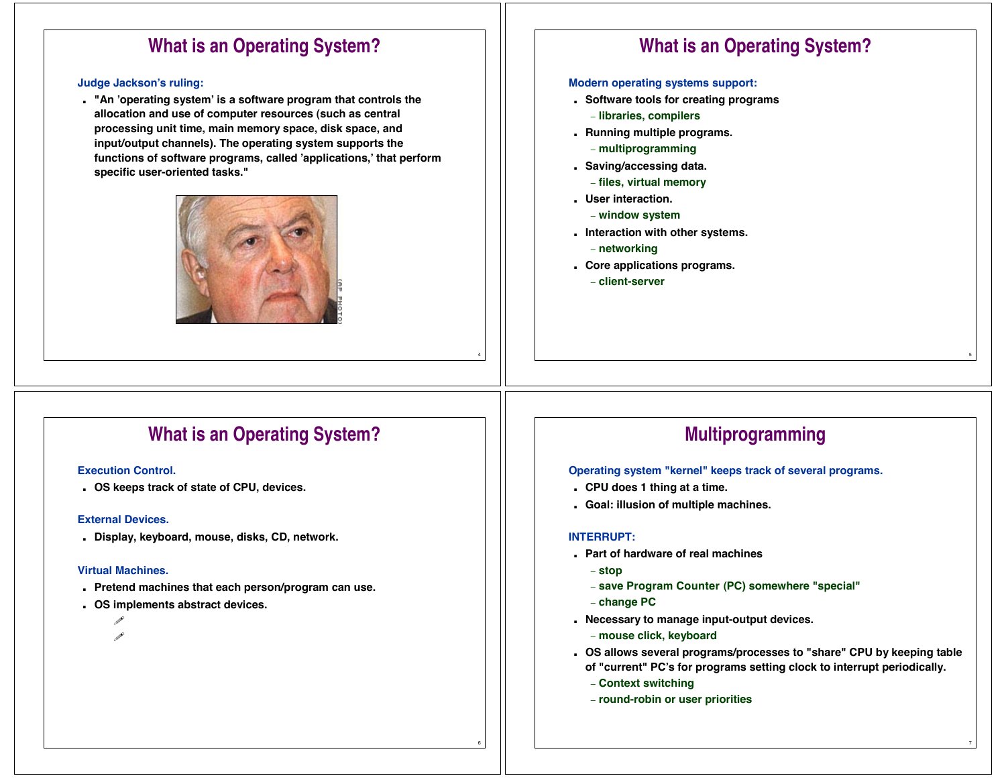### **What is an Operating System?**

#### **Judge Jackson's ruling:**

■ **"An 'operating system' is a software program that controls the allocation and use of computer resources (such as central processing unit time, main memory space, disk space, and input/output channels). The operating system supports the functions of software programs, called 'applications,' that perform specific user-oriented tasks."**



### **What is an Operating System?**

#### **Modern operating systems support:**

- **Software tools for creating programs**
	- **libraries, compilers**
- **Running multiple programs.**
	- **multiprogramming**
- **Saving/accessing data.**
	- **files, virtual memory**
- **User interaction.**
	- **window system**
- **Interaction with other systems.**
	- **networking**

– **client-server**

■ **Core applications programs.**

# **What is an Operating System?**

#### **Execution Control.**

■ **OS keeps track of state of CPU, devices.**

#### **External Devices.**

■ **Display, keyboard, mouse, disks, CD, network.**

#### **Virtual Machines.**

- **Pretend machines that each person/program can use.**
- **OS implements abstract devices.**
	- **Simpler for user than real hardware. Easier to change to new hardware.**

### **Multiprogramming**

#### **Operating system "kernel" keeps track of several programs.**

- **CPU does 1 thing at a time.**
- **Goal: illusion of multiple machines.**

#### **INTERRUPT:**

4

- **Part of hardware of real machines**
	- **stop**
	- **save Program Counter ( PC) somewhere "special"**
	- **change PC**
- **Necessary to manage input-output devices.**
	- **mouse click, keyboard**
- **OS allows several programs/processes to "share" CPU by keeping table of "current" PC's for programs setting clock to interrupt periodically.**

7

- **Context switching**
- **round-robin or user priorities**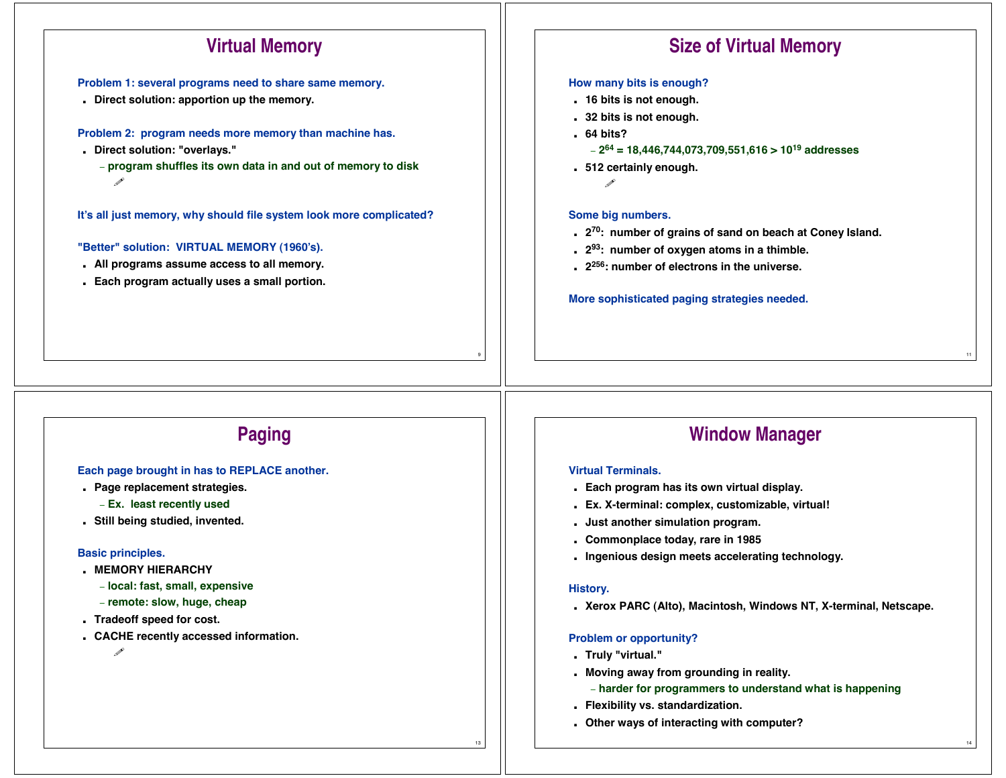### **Virtual Memory**

**Problem 1: several programs need to share same memory.**

■ **Direct solution: apportion up the memory.**

**Problem 2: program needs more memory than machine has.**

- **Direct solution: "overlays."**
	- **program shuffles its own data in and out of memory to disk Nightmare for programmers.**

**It's all just memory, why should file system look more complicated?**

#### **"Better" solution: VIRTUAL MEMORY (1960's).**

- **All programs assume access to all memory.**
- **Each program actually uses a small portion.**

### **Size of Virtual Memory**

#### **How many bits is enough?**

- **16 bits is not enough.**
- **32 bits is not enough.**
- **64 bits?**
	- **<sup>2</sup><sup>64</sup> = 18,446,744,073,709,551,616 > 10<sup>19</sup> addresses**
- **512 certainly enough.**

**No need for relocation, use a galactic address dispenser.**

#### **Some big numbers.**

- **<sup>2</sup>70: number of grains of sand on beach at Coney Island.**
- **<sup>2</sup>93: number of oxygen atoms in a thimble.**
- **2256: number of electrons in the universe.**

**More sophisticated paging strategies needed.**

## **Paging**

#### **Each page brought in has to REPLACE another.**

- **Page replacement strategies.**
	- **Ex. least recently used**
- **Still being studied, invented.**

#### **Basic principles.**

#### ■ **MEMORY HIERARCHY**

- **local: fast, small, expensive**
- **remote: slow, huge, cheap**
- **Tradeoff speed for cost.**
- **CACHE recently accessed information.**

**Program thinks it has fast \*and\* huge memory.**

### **Window Manager**

#### **Virtual Terminals.**

- **Each program has its own virtual display.**
- **Ex. X-terminal: complex, customizable, virtual!**
- **Just another simulation program.**
- **Commonplace today, rare in 1985**
- $\blacksquare$  **Ingenious design meets accelerating technology.**

#### **History.**

■ **Xerox PARC (Alto), Macintosh, Windows NT, X-terminal, Netscape.**

#### **Problem or opportunity?**

- **Truly "virtual."**
- **Moving away from grounding in reality.**
	- **harder for programmers to understand what is happening**

14

- **Flexibility vs. standardization.**
- **Other ways of interacting with computer?**

13

9